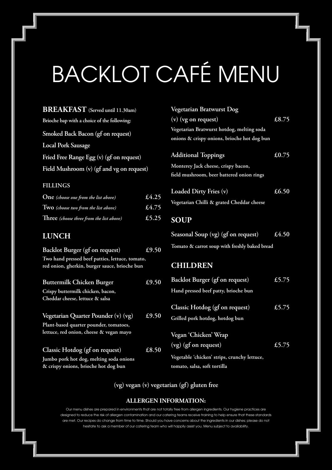# BACKLOT CAFÉ MENU

**BREAKFAST (Served until 11.30am) Brioche bap with a choice of the following: Smoked Back Bacon (gf on request) Local Pork Sausage Fried Free Range Egg (v) (gf on request) Field Mushroom (v) (gf and vg on request)**

### **FILLINGS**

| <b>One</b> (choose one from the list above) | £4.25 |
|---------------------------------------------|-------|
| Two (choose two from the list above)        | £4.75 |
| Three (choose three from the list above)    | £5.25 |

## **LUNCH**

| Backlot Burger (gf on request)                                                                   | $\overline{£}9.50$ |
|--------------------------------------------------------------------------------------------------|--------------------|
| Two hand pressed beef patties, lettuce, tomato,<br>red onion, gherkin, burger sauce, brioche bun |                    |
| <b>Buttermilk Chicken Burger</b>                                                                 | £9.50              |
| Crispy buttermilk chicken, bacon,                                                                |                    |
| Cheddar cheese, lettuce & salsa                                                                  |                    |
| Vegetarian Quarter Pounder (v) (vg)                                                              | £9.50              |
| Plant-based quarter pounder, tomatoes,                                                           |                    |
| lettuce, red onion, cheese & vegan mayo                                                          |                    |
| Classic Hotdog (gf on request)                                                                   | £8.50              |
| Jumbo pork hot dog, melting soda onions                                                          |                    |
| & crispy onions, brioche hot dog bun                                                             |                    |

| Vegetarian Bratwurst Dog                      |       |
|-----------------------------------------------|-------|
| $(v)$ (vg on request)                         | £8.75 |
| Vegetarian Bratwurst hotdog, melting soda     |       |
| onions & crispy onions, brioche hot dog bun   |       |
| <b>Additional Toppings</b>                    | £0.75 |
| Monterey Jack cheese, crispy bacon,           |       |
| field mushroom, beer battered onion rings     |       |
| Loaded Dirty Fries (v)                        | £6.50 |
| Vegetarian Chilli & grated Cheddar cheese     |       |
| <b>SOUP</b>                                   |       |
| Seasonal Soup (vg) (gf on request)            | £4.50 |
| Tomato & carrot soup with freshly baked bread |       |

### **CHILDREN**

| 0 | Backlot Burger (gf on request)                                               | £5.75 |
|---|------------------------------------------------------------------------------|-------|
|   | Hand pressed beef patty, brioche bun                                         |       |
| 0 | Classic Hotdog (gf on request)<br>Grilled pork hotdog, hotdog bun            | £5.75 |
|   | Vegan 'Chicken' Wrap<br>(vg) (gf on request)                                 | £5.75 |
|   | Vegetable 'chicken' strips, crunchy lettuce,<br>tomato, salsa, soft tortilla |       |

# **(vg) vegan (v) vegetarian (gf) gluten free**

#### **ALLERGEN INFORMATION:**

Our menu dishes are prepared in environments that are not totally free from allergen ingredients. Our hygiene practices are designed to reduce the risk of allergen contamination and our catering teams receive training to help ensure that these standards are met. Our recipes do change from time to time. Should you have concerns about the ingredients in our dishes; please do not hesitate to ask a member of our catering team who will happily assist you. Menu subject to availability.